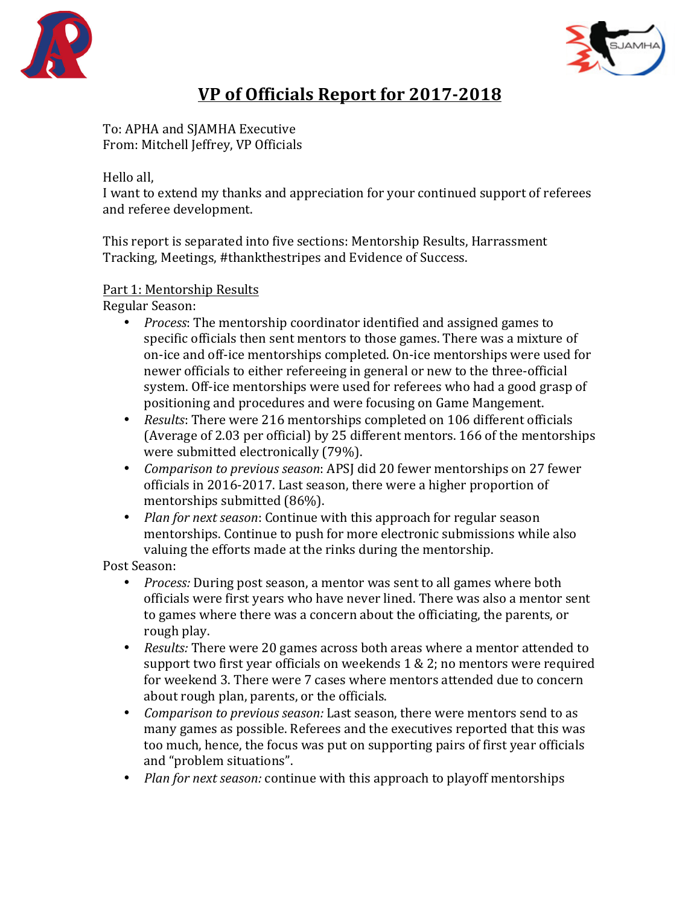



# **VP** of Officials Report for 2017-2018

To: APHA and SJAMHA Executive From: Mitchell Jeffrey, VP Officials

Hello all.

I want to extend my thanks and appreciation for your continued support of referees and referee development.

This report is separated into five sections: Mentorship Results, Harrassment Tracking, Meetings, #thankthestripes and Evidence of Success.

### Part 1: Mentorship Results

Regular Season: 

- *Process*: The mentorship coordinator identified and assigned games to specific officials then sent mentors to those games. There was a mixture of on-ice and off-ice mentorships completed. On-ice mentorships were used for newer officials to either refereeing in general or new to the three-official system. Off-ice mentorships were used for referees who had a good grasp of positioning and procedures and were focusing on Game Mangement.
- *Results*: There were 216 mentorships completed on 106 different officials (Average of 2.03 per official) by 25 different mentors. 166 of the mentorships were submitted electronically (79%).
- *Comparison to previous season*: APSJ did 20 fewer mentorships on 27 fewer officials in 2016-2017. Last season, there were a higher proportion of mentorships submitted (86%).
- *Plan for next season:* Continue with this approach for regular season mentorships. Continue to push for more electronic submissions while also valuing the efforts made at the rinks during the mentorship.

Post Season:

- *Process:* During post season, a mentor was sent to all games where both officials were first years who have never lined. There was also a mentor sent to games where there was a concern about the officiating, the parents, or rough play.
- *Results:* There were 20 games across both areas where a mentor attended to support two first year officials on weekends  $1 \& 2$ ; no mentors were required for weekend 3. There were 7 cases where mentors attended due to concern about rough plan, parents, or the officials.
- *Comparison to previous season:* Last season, there were mentors send to as many games as possible. Referees and the executives reported that this was too much, hence, the focus was put on supporting pairs of first year officials and "problem situations".
- *Plan for next season:* continue with this approach to playoff mentorships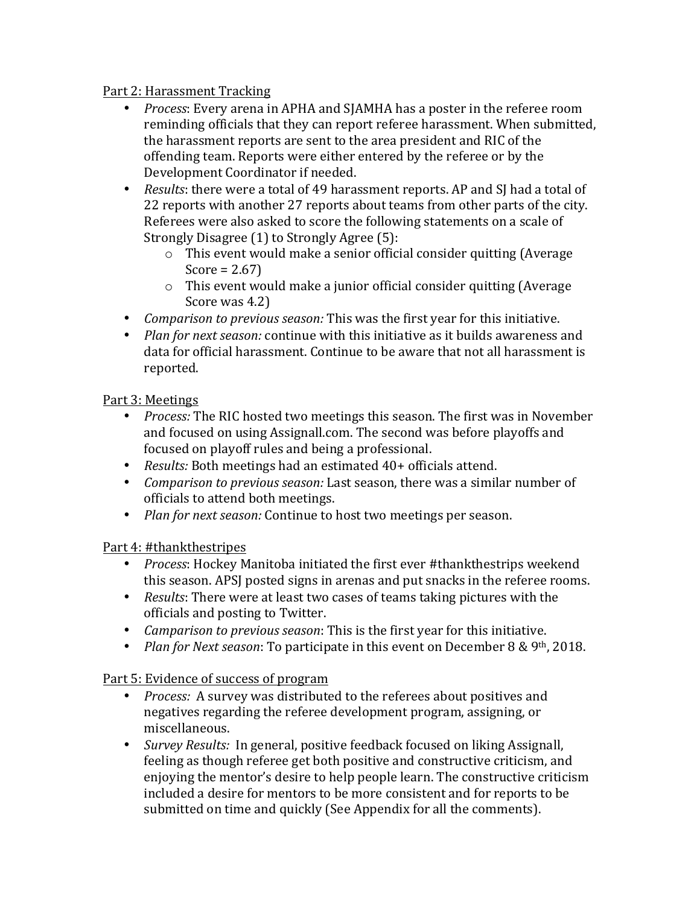#### Part 2: Harassment Tracking

- *Process*: Every arena in APHA and SJAMHA has a poster in the referee room reminding officials that they can report referee harassment. When submitted, the harassment reports are sent to the area president and RIC of the offending team. Reports were either entered by the referee or by the Development Coordinator if needed.
- *Results*: there were a total of 49 harassment reports. AP and SJ had a total of 22 reports with another 27 reports about teams from other parts of the city. Referees were also asked to score the following statements on a scale of Strongly Disagree (1) to Strongly Agree (5):
	- $\circ$  This event would make a senior official consider quitting (Average Score =  $2.67$ )
	- $\circ$  This event would make a junior official consider quitting (Average Score was 4.2)
- *Comparison to previous season:* This was the first year for this initiative.
- *Plan for next season:* continue with this initiative as it builds awareness and data for official harassment. Continue to be aware that not all harassment is reported.

# Part 3: Meetings

- *Process:* The RIC hosted two meetings this season. The first was in November and focused on using Assignall.com. The second was before playoffs and focused on playoff rules and being a professional.
- *Results:* Both meetings had an estimated 40+ officials attend.
- *Comparison to previous season:* Last season, there was a similar number of officials to attend both meetings.
- *Plan for next season:* Continue to host two meetings per season.

# Part 4: #thankthestripes

- *Process*: Hockey Manitoba initiated the first ever #thankthestrips weekend this season. APSJ posted signs in arenas and put snacks in the referee rooms.
- *Results:* There were at least two cases of teams taking pictures with the officials and posting to Twitter.
- *Camparison to previous season*: This is the first year for this initiative.
- *Plan for Next season*: To participate in this event on December 8 & 9<sup>th</sup>, 2018.

Part 5: Evidence of success of program

- *Process:* A survey was distributed to the referees about positives and negatives regarding the referee development program, assigning, or miscellaneous.
- *Survey Results:* In general, positive feedback focused on liking Assignall, feeling as though referee get both positive and constructive criticism, and enjoying the mentor's desire to help people learn. The constructive criticism included a desire for mentors to be more consistent and for reports to be submitted on time and quickly (See Appendix for all the comments).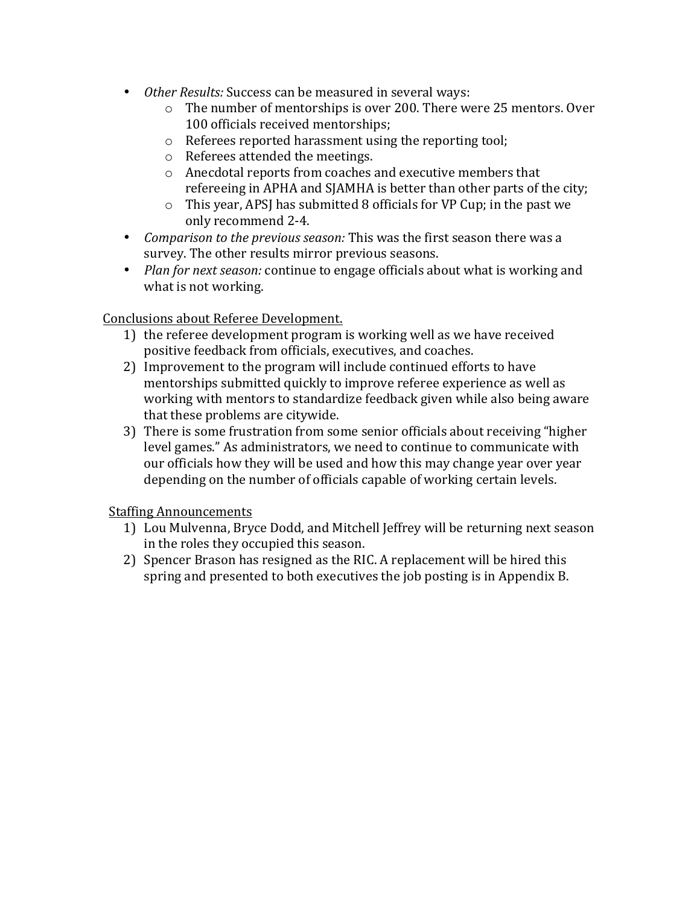- *Other Results:* Success can be measured in several ways:
	- $\circ$  The number of mentorships is over 200. There were 25 mentors. Over 100 officials received mentorships;
	- $\circ$  Referees reported harassment using the reporting tool;
	- $\circ$  Referees attended the meetings.
	- $\circ$  Anecdotal reports from coaches and executive members that refereeing in APHA and SJAMHA is better than other parts of the city;
	- $\circ$  This year, APSJ has submitted 8 officials for VP Cup; in the past we only recommend 2-4.
- *Comparison to the previous season:* This was the first season there was a survey. The other results mirror previous seasons.
- *Plan for next season:* continue to engage officials about what is working and what is not working.

### Conclusions about Referee Development.

- 1) the referee development program is working well as we have received positive feedback from officials, executives, and coaches.
- 2) Improvement to the program will include continued efforts to have mentorships submitted quickly to improve referee experience as well as working with mentors to standardize feedback given while also being aware that these problems are citywide.
- 3) There is some frustration from some senior officials about receiving "higher" level games." As administrators, we need to continue to communicate with our officials how they will be used and how this may change year over year depending on the number of officials capable of working certain levels.

#### **Staffing Announcements**

- 1) Lou Mulvenna, Bryce Dodd, and Mitchell Jeffrey will be returning next season in the roles they occupied this season.
- 2) Spencer Brason has resigned as the RIC. A replacement will be hired this spring and presented to both executives the job posting is in Appendix B.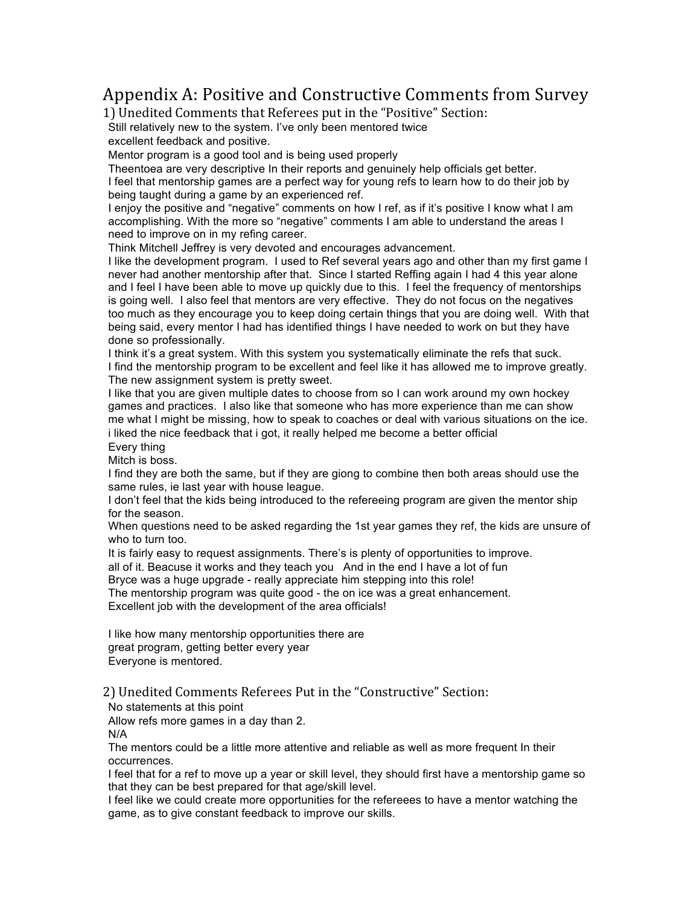# Appendix A: Positive and Constructive Comments from Survey

1) Unedited Comments that Referees put in the "Positive" Section:

Still relatively new to the system. I've only been mentored twice

excellent feedback and positive.

Mentor program is a good tool and is being used properly

Theentoea are very descriptive In their reports and genuinely help officials get better. I feel that mentorship games are a perfect way for young refs to learn how to do their job by being taught during a game by an experienced ref.

I enjoy the positive and "negative" comments on how I ref, as if it's positive I know what I am accomplishing. With the more so "negative" comments I am able to understand the areas I need to improve on in my refing career.

Think Mitchell Jeffrey is very devoted and encourages advancement.

I like the development program. I used to Ref several years ago and other than my first game I never had another mentorship after that. Since I started Reffing again I had 4 this year alone and I feel I have been able to move up quickly due to this. I feel the frequency of mentorships is going well. I also feel that mentors are very effective. They do not focus on the negatives too much as they encourage you to keep doing certain things that you are doing well. With that being said, every mentor I had has identified things I have needed to work on but they have done so professionally.

I think it's a great system. With this system you systematically eliminate the refs that suck. I find the mentorship program to be excellent and feel like it has allowed me to improve greatly. The new assignment system is pretty sweet.

I like that you are given multiple dates to choose from so I can work around my own hockey games and practices. I also like that someone who has more experience than me can show me what I might be missing, how to speak to coaches or deal with various situations on the ice. i liked the nice feedback that i got, it really helped me become a better official Every thing

Mitch is boss.

I find they are both the same, but if they are giong to combine then both areas should use the same rules, ie last year with house league.

I don't feel that the kids being introduced to the refereeing program are given the mentor ship for the season.

When questions need to be asked regarding the 1st year games they ref, the kids are unsure of who to turn too.

It is fairly easy to request assignments. There's is plenty of opportunities to improve.

all of it. Beacuse it works and they teach you And in the end I have a lot of fun

Bryce was a huge upgrade - really appreciate him stepping into this role!

The mentorship program was quite good - the on ice was a great enhancement. Excellent job with the development of the area officials!

I like how many mentorship opportunities there are great program, getting better every year Everyone is mentored.

2) Unedited Comments Referees Put in the "Constructive" Section:

No statements at this point

Allow refs more games in a day than 2.

N/A

The mentors could be a little more attentive and reliable as well as more frequent In their occurrences.

I feel that for a ref to move up a year or skill level, they should first have a mentorship game so that they can be best prepared for that age/skill level.

I feel like we could create more opportunities for the refereees to have a mentor watching the game, as to give constant feedback to improve our skills.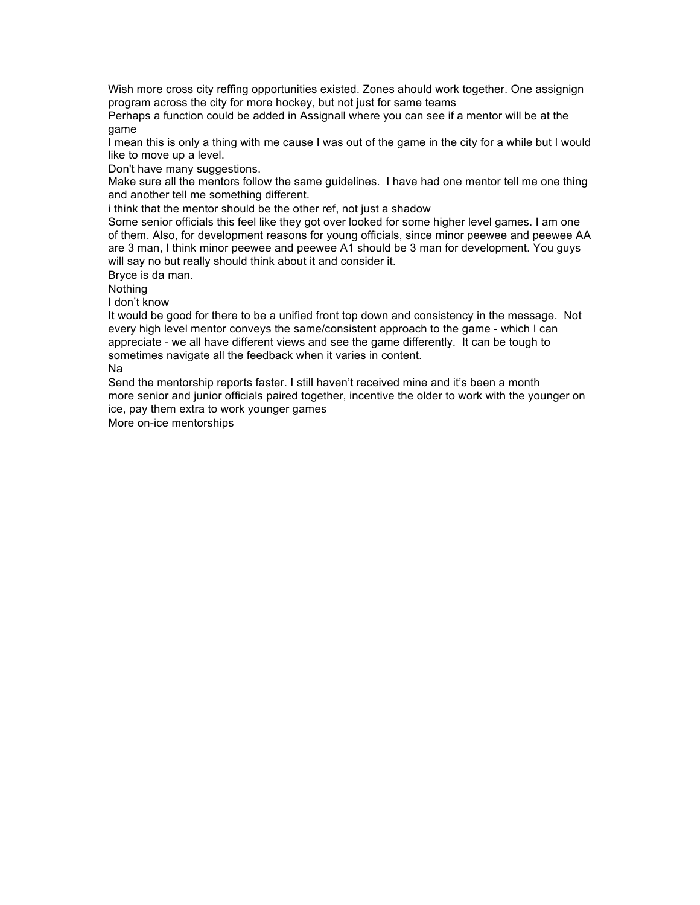Wish more cross city reffing opportunities existed. Zones ahould work together. One assignign program across the city for more hockey, but not just for same teams

Perhaps a function could be added in Assignall where you can see if a mentor will be at the game

I mean this is only a thing with me cause I was out of the game in the city for a while but I would like to move up a level.

Don't have many suggestions.

Make sure all the mentors follow the same guidelines. I have had one mentor tell me one thing and another tell me something different.

i think that the mentor should be the other ref, not just a shadow

Some senior officials this feel like they got over looked for some higher level games. I am one of them. Also, for development reasons for young officials, since minor peewee and peewee AA are 3 man, I think minor peewee and peewee A1 should be 3 man for development. You guys will say no but really should think about it and consider it.

Bryce is da man.

Nothing

I don't know

It would be good for there to be a unified front top down and consistency in the message. Not every high level mentor conveys the same/consistent approach to the game - which I can appreciate - we all have different views and see the game differently. It can be tough to sometimes navigate all the feedback when it varies in content.

Na

Send the mentorship reports faster. I still haven't received mine and it's been a month more senior and junior officials paired together, incentive the older to work with the younger on ice, pay them extra to work younger games

More on-ice mentorships